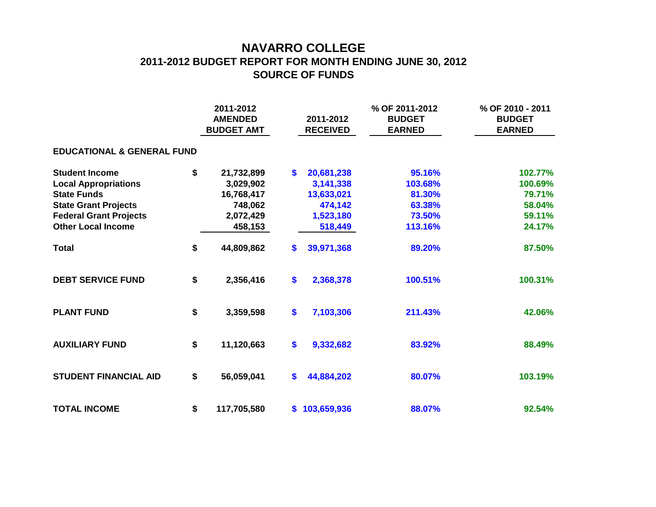## **NAVARRO COLLEGE 2011-2012 BUDGET REPORT FOR MONTH ENDING JUNE 30, 2012 SOURCE OF FUNDS**

|                                       | 2011-2012<br><b>AMENDED</b><br><b>BUDGET AMT</b> |             |    | 2011-2012<br><b>RECEIVED</b> | % OF 2011-2012<br><b>BUDGET</b><br><b>EARNED</b> | % OF 2010 - 2011<br><b>BUDGET</b><br><b>EARNED</b> |  |  |  |  |  |  |  |  |
|---------------------------------------|--------------------------------------------------|-------------|----|------------------------------|--------------------------------------------------|----------------------------------------------------|--|--|--|--|--|--|--|--|
| <b>EDUCATIONAL &amp; GENERAL FUND</b> |                                                  |             |    |                              |                                                  |                                                    |  |  |  |  |  |  |  |  |
| <b>Student Income</b>                 | \$                                               | 21,732,899  | S. | 20,681,238                   | 95.16%                                           | 102.77%                                            |  |  |  |  |  |  |  |  |
| <b>Local Appropriations</b>           |                                                  | 3,029,902   |    | 3,141,338                    | 103.68%                                          | 100.69%                                            |  |  |  |  |  |  |  |  |
| <b>State Funds</b>                    |                                                  | 16,768,417  |    | 13,633,021                   | 81.30%                                           | 79.71%                                             |  |  |  |  |  |  |  |  |
| <b>State Grant Projects</b>           |                                                  | 748,062     |    | 474,142                      | 63.38%                                           | 58.04%                                             |  |  |  |  |  |  |  |  |
| <b>Federal Grant Projects</b>         |                                                  | 2,072,429   |    | 1,523,180                    | 73.50%                                           | 59.11%                                             |  |  |  |  |  |  |  |  |
| <b>Other Local Income</b>             |                                                  | 458,153     |    | 518,449                      | 113.16%                                          | 24.17%                                             |  |  |  |  |  |  |  |  |
| <b>Total</b>                          | \$                                               | 44,809,862  | S. | 39,971,368                   | 89.20%                                           | 87.50%                                             |  |  |  |  |  |  |  |  |
| <b>DEBT SERVICE FUND</b>              | \$                                               | 2,356,416   | \$ | 2,368,378                    | 100.51%                                          | 100.31%                                            |  |  |  |  |  |  |  |  |
| <b>PLANT FUND</b>                     | \$                                               | 3,359,598   | \$ | 7,103,306                    | 211.43%                                          | 42.06%                                             |  |  |  |  |  |  |  |  |
| <b>AUXILIARY FUND</b>                 | \$                                               | 11,120,663  | \$ | 9,332,682                    | 83.92%                                           | 88.49%                                             |  |  |  |  |  |  |  |  |
| <b>STUDENT FINANCIAL AID</b>          | \$                                               | 56,059,041  | S. | 44,884,202                   | 80.07%                                           | 103.19%                                            |  |  |  |  |  |  |  |  |
| <b>TOTAL INCOME</b>                   | \$                                               | 117,705,580 |    | \$103,659,936                | 88.07%                                           | 92.54%                                             |  |  |  |  |  |  |  |  |